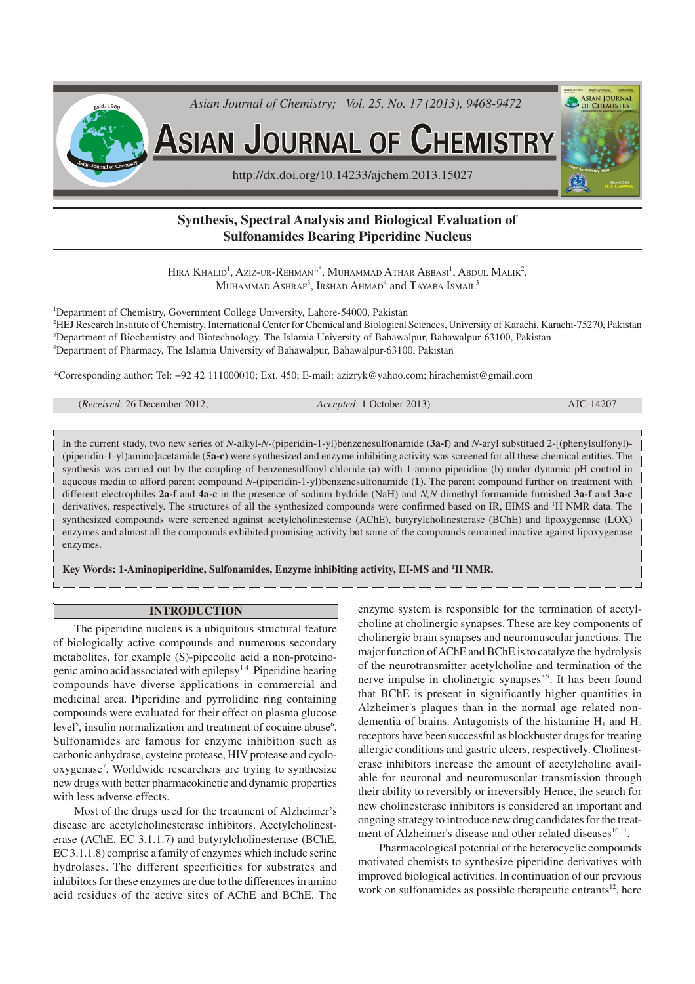

# **Synthesis, Spectral Analysis and Biological Evaluation of Sulfonamides Bearing Piperidine Nucleus**

Hira Khalid<sup>1</sup>, Aziz-ur-Rehman<sup>1,\*</sup>, Muhammad Athar Abbasi<sup>1</sup>, Abdul Malik<sup>2</sup>, Muhammad Ashraf $^3$ , Irshad Ahmad $^4$  and Tayaba Ismail $^3$ 

<sup>1</sup>Department of Chemistry, Government College University, Lahore-54000, Pakistan HEJ Research Institute of Chemistry, International Center for Chemical and Biological Sciences, University of Karachi, Karachi-75270, Pakistan Department of Biochemistry and Biotechnology, The Islamia University of Bahawalpur, Bahawalpur-63100, Pakistan Department of Pharmacy, The Islamia University of Bahawalpur, Bahawalpur-63100, Pakistan

\*Corresponding author: Tel: +92 42 111000010; Ext. 450; E-mail: azizryk@yahoo.com; hirachemist@gmail.com

| ( <i>Received:</i> 26 December 2012; | <i>Accepted</i> : 1 October 2013) | AJC-14207 |
|--------------------------------------|-----------------------------------|-----------|
|                                      |                                   |           |

In the current study, two new series of *N-*alkyl-*N-*(piperidin-1-yl)benzenesulfonamide (**3a-f**) and *N-*aryl substitued 2-[(phenylsulfonyl)- (piperidin-1-yl)amino]acetamide (**5a-c**) were synthesized and enzyme inhibiting activity was screened for all these chemical entities. The synthesis was carried out by the coupling of benzenesulfonyl chloride (a) with 1-amino piperidine (b) under dynamic pH control in aqueous media to afford parent compound *N-*(piperidin-1-yl)benzenesulfonamide (**1**). The parent compound further on treatment with different electrophiles **2a-f** and **4a-c** in the presence of sodium hydride (NaH) and *N,N-*dimethyl formamide furnished **3a-f** and **3a-c** derivatives, respectively. The structures of all the synthesized compounds were confirmed based on IR, EIMS and <sup>1</sup>H NMR data. The synthesized compounds were screened against acetylcholinesterase (AChE), butyrylcholinesterase (BChE) and lipoxygenase (LOX) enzymes and almost all the compounds exhibited promising activity but some of the compounds remained inactive against lipoxygenase enzymes.

**Key Words: 1-Aminopiperidine, Sulfonamides, Enzyme inhibiting activity, EI-MS and <sup>1</sup>H NMR.**

### **INTRODUCTION**

The piperidine nucleus is a ubiquitous structural feature of biologically active compounds and numerous secondary metabolites, for example (S)-pipecolic acid a non-proteinogenic amino acid associated with epilepsy1-4. Piperidine bearing compounds have diverse applications in commercial and medicinal area. Piperidine and pyrrolidine ring containing compounds were evaluated for their effect on plasma glucose level<sup>5</sup>, insulin normalization and treatment of cocaine abuse<sup>6</sup>. Sulfonamides are famous for enzyme inhibition such as carbonic anhydrase, cysteine protease, HIV protease and cyclooxygenase<sup>7</sup>. Worldwide researchers are trying to synthesize new drugs with better pharmacokinetic and dynamic properties with less adverse effects.

Most of the drugs used for the treatment of Alzheimer's disease are acetylcholinesterase inhibitors. Acetylcholinesterase (AChE, EC 3.1.1.7) and butyrylcholinesterase (BChE, EC 3.1.1.8) comprise a family of enzymes which include serine hydrolases. The different specificities for substrates and inhibitors for these enzymes are due to the differences in amino acid residues of the active sites of AChE and BChE. The enzyme system is responsible for the termination of acetylcholine at cholinergic synapses. These are key components of cholinergic brain synapses and neuromuscular junctions. The major function of AChE and BChE is to catalyze the hydrolysis of the neurotransmitter acetylcholine and termination of the nerve impulse in cholinergic synapses<sup>8,9</sup>. It has been found that BChE is present in significantly higher quantities in Alzheimer's plaques than in the normal age related nondementia of brains. Antagonists of the histamine  $H_1$  and  $H_2$ receptors have been successful as blockbuster drugs for treating allergic conditions and gastric ulcers, respectively. Cholinesterase inhibitors increase the amount of acetylcholine available for neuronal and neuromuscular transmission through their ability to reversibly or irreversibly Hence, the search for new cholinesterase inhibitors is considered an important and ongoing strategy to introduce new drug candidates for the treatment of Alzheimer's disease and other related diseases<sup>10,11</sup>.

Pharmacological potential of the heterocyclic compounds motivated chemists to synthesize piperidine derivatives with improved biological activities. In continuation of our previous work on sulfonamides as possible therapeutic entrants<sup>12</sup>, here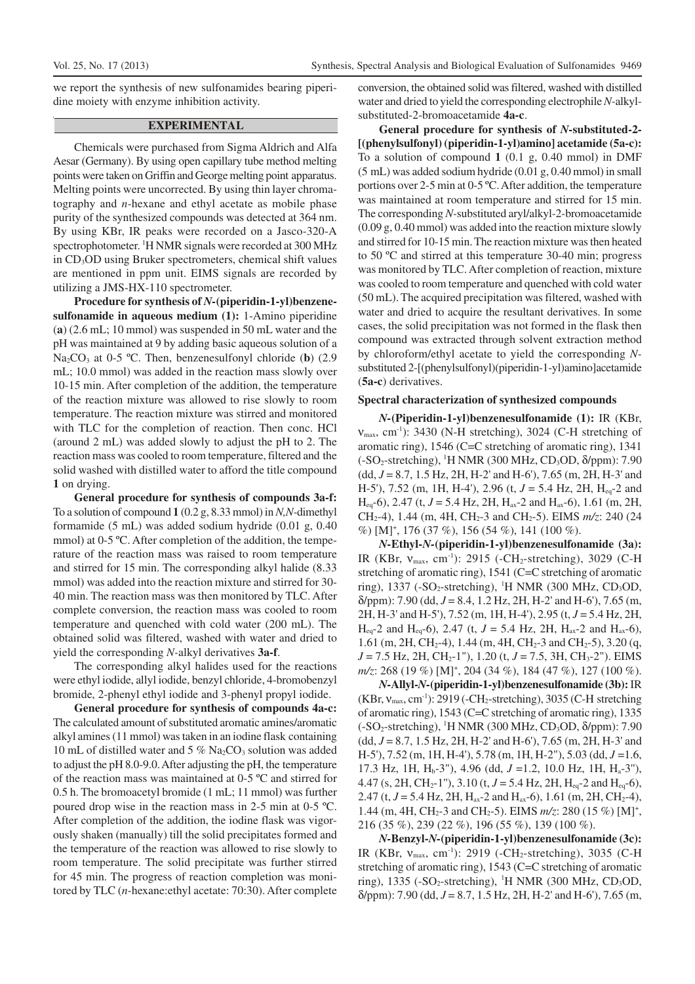we report the synthesis of new sulfonamides bearing piperidine moiety with enzyme inhibition activity.

## **EXPERIMENTAL**

Chemicals were purchased from Sigma Aldrich and Alfa Aesar (Germany). By using open capillary tube method melting points were taken on Griffin and George melting point apparatus. Melting points were uncorrected. By using thin layer chromatography and *n*-hexane and ethyl acetate as mobile phase purity of the synthesized compounds was detected at 364 nm. By using KBr, IR peaks were recorded on a Jasco-320-A spectrophotometer. <sup>1</sup>H NMR signals were recorded at 300 MHz in CD3OD using Bruker spectrometers, chemical shift values are mentioned in ppm unit. EIMS signals are recorded by utilizing a JMS-HX-110 spectrometer.

**Procedure for synthesis of** *N-***(piperidin-1-yl)benzenesulfonamide in aqueous medium (1):** 1-Amino piperidine (**a**) (2.6 mL; 10 mmol) was suspended in 50 mL water and the pH was maintained at 9 by adding basic aqueous solution of a Na<sub>2</sub>CO<sub>3</sub> at 0-5 °C. Then, benzenesulfonyl chloride (**b**) (2.9 mL; 10.0 mmol) was added in the reaction mass slowly over 10-15 min. After completion of the addition, the temperature of the reaction mixture was allowed to rise slowly to room temperature. The reaction mixture was stirred and monitored with TLC for the completion of reaction. Then conc. HCl (around 2 mL) was added slowly to adjust the pH to 2. The reaction mass was cooled to room temperature, filtered and the solid washed with distilled water to afford the title compound **1** on drying.

**General procedure for synthesis of compounds 3a-f:** To a solution of compound **1** (0.2 g, 8.33 mmol) in *N,N-*dimethyl formamide (5 mL) was added sodium hydride (0.01 g, 0.40 mmol) at 0-5 °C. After completion of the addition, the temperature of the reaction mass was raised to room temperature and stirred for 15 min. The corresponding alkyl halide (8.33 mmol) was added into the reaction mixture and stirred for 30- 40 min. The reaction mass was then monitored by TLC. After complete conversion, the reaction mass was cooled to room temperature and quenched with cold water (200 mL). The obtained solid was filtered, washed with water and dried to yield the corresponding *N-*alkyl derivatives **3a-f**.

The corresponding alkyl halides used for the reactions were ethyl iodide, allyl iodide, benzyl chloride, 4-bromobenzyl bromide, 2-phenyl ethyl iodide and 3-phenyl propyl iodide.

**General procedure for synthesis of compounds 4a-c:** The calculated amount of substituted aromatic amines/aromatic alkyl amines (11 mmol) was taken in an iodine flask containing 10 mL of distilled water and  $5\%$  Na<sub>2</sub>CO<sub>3</sub> solution was added to adjust the pH 8.0-9.0. After adjusting the pH, the temperature of the reaction mass was maintained at 0-5 ºC and stirred for 0.5 h. The bromoacetyl bromide (1 mL; 11 mmol) was further poured drop wise in the reaction mass in 2-5 min at 0-5 ºC. After completion of the addition, the iodine flask was vigorously shaken (manually) till the solid precipitates formed and the temperature of the reaction was allowed to rise slowly to room temperature. The solid precipitate was further stirred for 45 min. The progress of reaction completion was monitored by TLC (*n*-hexane:ethyl acetate: 70:30). After complete conversion, the obtained solid was filtered, washed with distilled water and dried to yield the corresponding electrophile *N-*alkylsubstituted-2-bromoacetamide **4a-c**.

**General procedure for synthesis of** *N-***substituted-2- [(phenylsulfonyl) (piperidin-1-yl)amino] acetamide (5a-c):** To a solution of compound **1** (0.1 g, 0.40 mmol) in DMF (5 mL) was added sodium hydride (0.01 g, 0.40 mmol) in small portions over 2-5 min at 0-5 ºC. After addition, the temperature was maintained at room temperature and stirred for 15 min. The corresponding *N-*substituted aryl/alkyl-2-bromoacetamide (0.09 g, 0.40 mmol) was added into the reaction mixture slowly and stirred for 10-15 min. The reaction mixture was then heated to 50 ºC and stirred at this temperature 30-40 min; progress was monitored by TLC. After completion of reaction, mixture was cooled to room temperature and quenched with cold water (50 mL). The acquired precipitation was filtered, washed with water and dried to acquire the resultant derivatives. In some cases, the solid precipitation was not formed in the flask then compound was extracted through solvent extraction method by chloroform/ethyl acetate to yield the corresponding *N*substituted 2-[(phenylsulfonyl)(piperidin-1-yl)amino]acetamide (**5a-c**) derivatives.

### **Spectral characterization of synthesized compounds**

*N-***(Piperidin-1-yl)benzenesulfonamide (1):** IR (KBr,  $v_{\text{max}}$ , cm<sup>-1</sup>): 3430 (N-H stretching), 3024 (C-H stretching of aromatic ring), 1546 (C=C stretching of aromatic ring), 1341 (-SO<sub>2</sub>-stretching), <sup>1</sup>H NMR (300 MHz, CD<sub>3</sub>OD,  $\delta$ /ppm): 7.90 (dd, *J* = 8.7, 1.5 Hz, 2H, H-2' and H-6'), 7.65 (m, 2H, H-3' and H-5'), 7.52 (m, 1H, H-4'), 2.96 (t, *J* = 5.4 Hz, 2H, Heq-2 and  $H_{eq}$ -6), 2.47 (t, *J* = 5.4 Hz, 2H,  $H_{ax}$ -2 and  $H_{ax}$ -6), 1.61 (m, 2H, CH2-4), 1.44 (m, 4H, CH2-3 and CH2-5). EIMS *m/z*: 240 (24 %) [M]<sup>+</sup> , 176 (37 %), 156 (54 %), 141 (100 %).

*N-***Ethyl-***N-***(piperidin-1-yl)benzenesulfonamide (3a):** IR (KBr,  $v_{\text{max}}$ , cm<sup>-1</sup>): 2915 (-CH<sub>2</sub>-stretching), 3029 (C-H stretching of aromatic ring), 1541 (C=C stretching of aromatic ring), 1337 (-SO<sub>2</sub>-stretching), <sup>1</sup>H NMR (300 MHz, CD<sub>3</sub>OD, δ/ppm): 7.90 (dd, *J* = 8.4, 1.2 Hz, 2H, H-2' and H-6'), 7.65 (m, 2H, H-3' and H-5'), 7.52 (m, 1H, H-4'), 2.95 (t, *J* = 5.4 Hz, 2H,  $H_{eq}$ -2 and  $H_{eq}$ -6), 2.47 (t,  $J = 5.4$  Hz, 2H,  $H_{ax}$ -2 and  $H_{ax}$ -6), 1.61 (m, 2H, CH<sub>2</sub>-4), 1.44 (m, 4H, CH<sub>2</sub>-3 and CH<sub>2</sub>-5), 3.20 (q, *J* = 7.5 Hz, 2H, CH<sub>2</sub>-1"), 1.20 (t, *J* = 7.5, 3H, CH<sub>3</sub>-2"). EIMS *m/z*: 268 (19 %) [M]<sup>+</sup> , 204 (34 %), 184 (47 %), 127 (100 %).

*N-***Allyl-***N-***(piperidin-1-yl)benzenesulfonamide (3b):** IR  $(KBr, V<sub>max</sub>, cm<sup>-1</sup>)$ : 2919 (-CH<sub>2</sub>-stretching), 3035 (C-H stretching of aromatic ring), 1543 (C=C stretching of aromatic ring), 1335  $(-SO_2\text{-stretching})$ , <sup>1</sup>H NMR (300 MHz, CD<sub>3</sub>OD,  $\delta$ /ppm): 7.90 (dd, *J* = 8.7, 1.5 Hz, 2H, H-2' and H-6'), 7.65 (m, 2H, H-3' and H-5'), 7.52 (m, 1H, H-4'), 5.78 (m, 1H, H-2"), 5.03 (dd, *J* =1.6, 17.3 Hz, 1H, Hb-3"), 4.96 (dd, *J* =1.2, 10.0 Hz, 1H, Ha-3''), 4.47 (s, 2H, CH<sub>2</sub>-1"), 3.10 (t,  $J = 5.4$  Hz, 2H, H<sub>eq</sub>-2 and H<sub>eq</sub>-6), 2.47 (t,  $J = 5.4$  Hz, 2H, H<sub>ax</sub>-2 and H<sub>ax</sub>-6), 1.61 (m, 2H, CH<sub>2</sub>-4), 1.44 (m, 4H, CH<sub>2</sub>-3 and CH<sub>2</sub>-5). EIMS  $m/z$ : 280 (15 %) [M]<sup>+</sup>, 216 (35 %), 239 (22 %), 196 (55 %), 139 (100 %).

*N-***Benzyl-***N-***(piperidin-1-yl)benzenesulfonamide (3c):** IR (KBr,  $v_{\text{max}}$ , cm<sup>-1</sup>): 2919 (-CH<sub>2</sub>-stretching), 3035 (C-H stretching of aromatic ring), 1543 (C=C stretching of aromatic ring), 1335 (-SO<sub>2</sub>-stretching), <sup>1</sup>H NMR (300 MHz, CD<sub>3</sub>OD, δ/ppm): 7.90 (dd, *J* = 8.7, 1.5 Hz, 2H, H-2' and H-6'), 7.65 (m,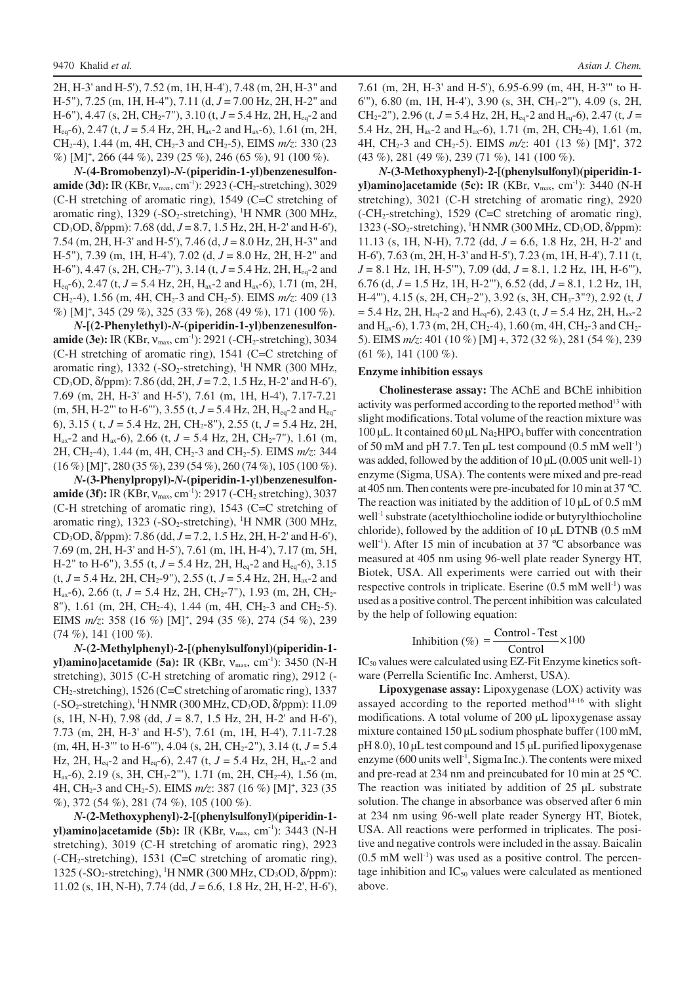2H, H-3' and H-5'), 7.52 (m, 1H, H-4'), 7.48 (m, 2H, H-3" and H-5"), 7.25 (m, 1H, H-4"), 7.11 (d, *J* = 7.00 Hz, 2H, H-2" and H-6"), 4.47 (s, 2H, CH<sub>2</sub>-7"), 3.10 (t, *J* = 5.4 Hz, 2H, H<sub>eq</sub>-2 and  $H_{eq}$ -6), 2.47 (t, *J* = 5.4 Hz, 2H, H<sub>ax</sub>-2 and H<sub>ax</sub>-6), 1.61 (m, 2H, CH<sub>2</sub>-4), 1.44 (m, 4H, CH<sub>2</sub>-3 and CH<sub>2</sub>-5), EIMS *m/z*: 330 (23) %) [M]<sup>+</sup> , 266 (44 %), 239 (25 %), 246 (65 %), 91 (100 %).

*N-***(4-Bromobenzyl)-***N-***(piperidin-1-yl)benzenesulfonamide (3d):** IR (KBr,  $v_{\text{max}}$ , cm<sup>-1</sup>): 2923 (-CH<sub>2</sub>-stretching), 3029 (C-H stretching of aromatic ring), 1549 (C=C stretching of aromatic ring),  $1329$  (-SO<sub>2</sub>-stretching), <sup>1</sup>H NMR (300 MHz, CD3OD, δ/ppm): 7.68 (dd, *J* = 8.7, 1.5 Hz, 2H, H-2' and H-6'), 7.54 (m, 2H, H-3' and H-5'), 7.46 (d, *J* = 8.0 Hz, 2H, H-3" and H-5"), 7.39 (m, 1H, H-4'), 7.02 (d, *J* = 8.0 Hz, 2H, H-2" and H-6"), 4.47 (s, 2H, CH<sub>2</sub>-7"), 3.14 (t, *J* = 5.4 Hz, 2H, H<sub>eq</sub>-2 and  $H_{eq}$ -6), 2.47 (t, *J* = 5.4 Hz, 2H, H<sub>ax</sub>-2 and H<sub>ax</sub>-6), 1.71 (m, 2H, CH<sub>2</sub>-4), 1.56 (m, 4H, CH<sub>2</sub>-3 and CH<sub>2</sub>-5). EIMS *m/z*: 409 (13 %) [M]<sup>+</sup> , 345 (29 %), 325 (33 %), 268 (49 %), 171 (100 %).

*N-***[(2-Phenylethyl)-***N-***(piperidin-1-yl)benzenesulfonamide (3e):** IR (KBr,  $v_{\text{max}}$ , cm<sup>-1</sup>): 2921 (-CH<sub>2</sub>-stretching), 3034 (C-H stretching of aromatic ring), 1541 (C=C stretching of aromatic ring),  $1332$  (-SO<sub>2</sub>-stretching), <sup>1</sup>H NMR (300 MHz, CD3OD, δ/ppm): 7.86 (dd, 2H, *J* = 7.2, 1.5 Hz, H-2' and H-6'), 7.69 (m, 2H, H-3' and H-5'), 7.61 (m, 1H, H-4'), 7.17-7.21 (m, 5H, H-2"' to H-6"'), 3.55 (t,  $J = 5.4$  Hz, 2H, H<sub>eq</sub>-2 and H<sub>eq</sub>-6), 3.15 ( t, *J* = 5.4 Hz, 2H, CH2-8"), 2.55 (t, *J* = 5.4 Hz, 2H,  $H_{ax}$ -2 and  $H_{ax}$ -6), 2.66 (t,  $J = 5.4$  Hz, 2H, CH<sub>2</sub>-7"), 1.61 (m, 2H, CH2-4), 1.44 (m, 4H, CH2-3 and CH2-5). EIMS *m/z*: 344 (16 %) [M]<sup>+</sup> , 280 (35 %), 239 (54 %), 260 (74 %), 105 (100 %).

*N-***(3-Phenylpropyl)-***N-***(piperidin-1-yl)benzenesulfonamide (3f):** IR (KBr,  $v_{\text{max}}$ , cm<sup>-1</sup>): 2917 (-CH<sub>2</sub> stretching), 3037 (C-H stretching of aromatic ring), 1543 (C=C stretching of aromatic ring),  $1323$  (-SO<sub>2</sub>-stretching), <sup>1</sup>H NMR (300 MHz, CD3OD, δ/ppm): 7.86 (dd, *J* = 7.2, 1.5 Hz, 2H, H-2' and H-6'), 7.69 (m, 2H, H-3' and H-5'), 7.61 (m, 1H, H-4'), 7.17 (m, 5H, H-2" to H-6"), 3.55 (t,  $J = 5.4$  Hz, 2H, H<sub>eq</sub>-2 and H<sub>eq</sub>-6), 3.15  $(t, J = 5.4 \text{ Hz}, 2H, CH_2-9'')$ , 2.55  $(t, J = 5.4 \text{ Hz}, 2H, H_{ax} - 2$  and H<sub>ax</sub>-6), 2.66 (t,  $J = 5.4$  Hz, 2H, CH<sub>2</sub>-7"), 1.93 (m, 2H, CH<sub>2</sub>-8"), 1.61 (m, 2H, CH<sub>2</sub>-4), 1.44 (m, 4H, CH<sub>2</sub>-3 and CH<sub>2</sub>-5). EIMS  $m/z$ : 358 (16 %) [M]<sup>+</sup>, 294 (35 %), 274 (54 %), 239 (74 %), 141 (100 %).

*N-***(2-Methylphenyl)-2-[(phenylsulfonyl)(piperidin-1 yl)amino]acetamide (5a):** IR (KBr, ν<sub>max</sub>, cm<sup>-1</sup>): 3450 (N-H stretching), 3015 (C-H stretching of aromatic ring), 2912 (- CH2-stretching), 1526 (C=C stretching of aromatic ring), 1337  $(-SO<sub>2</sub>-stretching)$ , <sup>1</sup>H NMR (300 MHz, CD<sub>3</sub>OD,  $\delta$ /ppm): 11.09 (s, 1H, N-H), 7.98 (dd, *J* = 8.7, 1.5 Hz, 2H, H-2' and H-6'), 7.73 (m, 2H, H-3' and H-5'), 7.61 (m, 1H, H-4'), 7.11-7.28 (m, 4H, H-3"' to H-6"'), 4.04 (s, 2H, CH2-2"), 3.14 (t, *J* = 5.4 Hz, 2H, Heq-2 and Heq-6), 2.47 (t, *J* = 5.4 Hz, 2H, Hax-2 and H<sub>ax</sub>-6), 2.19 (s, 3H, CH<sub>3</sub>-2"'), 1.71 (m, 2H, CH<sub>2</sub>-4), 1.56 (m, 4H, CH<sub>2</sub>-3 and CH<sub>2</sub>-5). EIMS  $m/z$ : 387 (16 %) [M]<sup>+</sup>, 323 (35 %), 372 (54 %), 281 (74 %), 105 (100 %).

*N-***(2-Methoxyphenyl)-2-[(phenylsulfonyl)(piperidin-1 yl)amino]acetamide (5b):** IR (KBr, ν<sub>max</sub>, cm<sup>-1</sup>): 3443 (N-H stretching), 3019 (C-H stretching of aromatic ring), 2923 (-CH2-stretching), 1531 (C=C stretching of aromatic ring),  $1325$  (-SO<sub>2</sub>-stretching), <sup>1</sup>H NMR (300 MHz, CD<sub>3</sub>OD,  $\delta$ /ppm): 11.02 (s, 1H, N-H), 7.74 (dd, *J* = 6.6, 1.8 Hz, 2H, H-2', H-6'), 7.61 (m, 2H, H-3' and H-5'), 6.95-6.99 (m, 4H, H-3'" to H-6'"), 6.80 (m, 1H, H-4'), 3.90 (s, 3H, CH3-2"'), 4.09 (s, 2H, CH<sub>2</sub>-2"), 2.96 (t,  $J = 5.4$  Hz, 2H, H<sub>eq</sub>-2 and H<sub>eq</sub>-6), 2.47 (t,  $J =$ 5.4 Hz, 2H,  $H_{ax}$ -2 and  $H_{ax}$ -6), 1.71 (m, 2H, CH<sub>2</sub>-4), 1.61 (m, 4H, CH<sub>2</sub>-3 and CH<sub>2</sub>-5). EIMS  $m/z$ : 401 (13 %) [M]<sup>+</sup>, 372 (43 %), 281 (49 %), 239 (71 %), 141 (100 %).

*N-***(3-Methoxyphenyl)-2-[(phenylsulfonyl)(piperidin-1 yl)amino]acetamide (5c):** IR (KBr,  $V_{\text{max}}$ , cm<sup>-1</sup>): 3440 (N-H stretching), 3021 (C-H stretching of aromatic ring), 2920  $(-CH<sub>2</sub>-stretching)$ , 1529 (C=C stretching of aromatic ring), 1323 (-SO<sub>2</sub>-stretching), <sup>1</sup>H NMR (300 MHz, CD<sub>3</sub>OD, δ/ppm): 11.13 (s, 1H, N-H), 7.72 (dd, *J* = 6.6, 1.8 Hz, 2H, H-2' and H-6'), 7.63 (m, 2H, H-3' and H-5'), 7.23 (m, 1H, H-4'), 7.11 (t, *J* = 8.1 Hz, 1H, H-5'"), 7.09 (dd, *J* = 8.1, 1.2 Hz, 1H, H-6"'), 6.76 (d, *J* = 1.5 Hz, 1H, H-2"'), 6.52 (dd, *J* = 8.1, 1.2 Hz, 1H, H-4"'), 4.15 (s, 2H, CH2-2"), 3.92 (s, 3H, CH3-3"?), 2.92 (t, *J*  $= 5.4$  Hz, 2H, H<sub>eq</sub>-2 and H<sub>eq</sub>-6), 2.43 (t,  $J = 5.4$  Hz, 2H, H<sub>ax</sub>-2 and  $H_{ax}$ -6), 1.73 (m, 2H, CH<sub>2</sub>-4), 1.60 (m, 4H, CH<sub>2</sub>-3 and CH<sub>2</sub>-5). EIMS *m/z*: 401 (10 %) [M] +, 372 (32 %), 281 (54 %), 239  $(61 \%)$ , 141  $(100 \%)$ .

#### **Enzyme inhibition essays**

**Cholinesterase assay:** The AChE and BChE inhibition activity was performed according to the reported method<sup>13</sup> with slight modifications. Total volume of the reaction mixture was  $100 \mu L$ . It contained  $60 \mu L$  Na<sub>2</sub>HPO<sub>4</sub> buffer with concentration of 50 mM and pH 7.7. Ten  $\mu$ L test compound (0.5 mM well<sup>-1</sup>) was added, followed by the addition of 10  $\mu$ L (0.005 unit well-1) enzyme (Sigma, USA). The contents were mixed and pre-read at 405 nm. Then contents were pre-incubated for 10 min at 37 ºC. The reaction was initiated by the addition of  $10 \mu L$  of  $0.5 \text{ mM}$ well<sup>-1</sup> substrate (acetylthiocholine iodide or butyrylthiocholine chloride), followed by the addition of  $10 \mu L$  DTNB (0.5 mM well<sup>-1</sup>). After 15 min of incubation at 37 °C absorbance was measured at 405 nm using 96-well plate reader Synergy HT, Biotek, USA. All experiments were carried out with their respective controls in triplicate. Eserine  $(0.5 \text{ mM well}^{-1})$  was used as a positive control. The percent inhibition was calculated by the help of following equation:

Inhibition (
$$
\%
$$
) =  $\frac{\text{Control-Test}}{\text{Control}} \times 100$ 

 $IC_{50}$  values were calculated using EZ-Fit Enzyme kinetics software (Perrella Scientific Inc. Amherst, USA).

**Lipoxygenase assay:** Lipoxygenase (LOX) activity was assayed according to the reported method $14-16$  with slight modifications. A total volume of 200 µL lipoxygenase assay mixture contained 150 µL sodium phosphate buffer (100 mM, pH 8.0), 10 µL test compound and 15 µL purified lipoxygenase enzyme (600 units well<sup>-1</sup>, Sigma Inc.). The contents were mixed and pre-read at 234 nm and preincubated for 10 min at 25 ºC. The reaction was initiated by addition of 25 µL substrate solution. The change in absorbance was observed after 6 min at 234 nm using 96-well plate reader Synergy HT, Biotek, USA. All reactions were performed in triplicates. The positive and negative controls were included in the assay. Baicalin  $(0.5 \text{ mM well}^{-1})$  was used as a positive control. The percentage inhibition and  $IC_{50}$  values were calculated as mentioned above.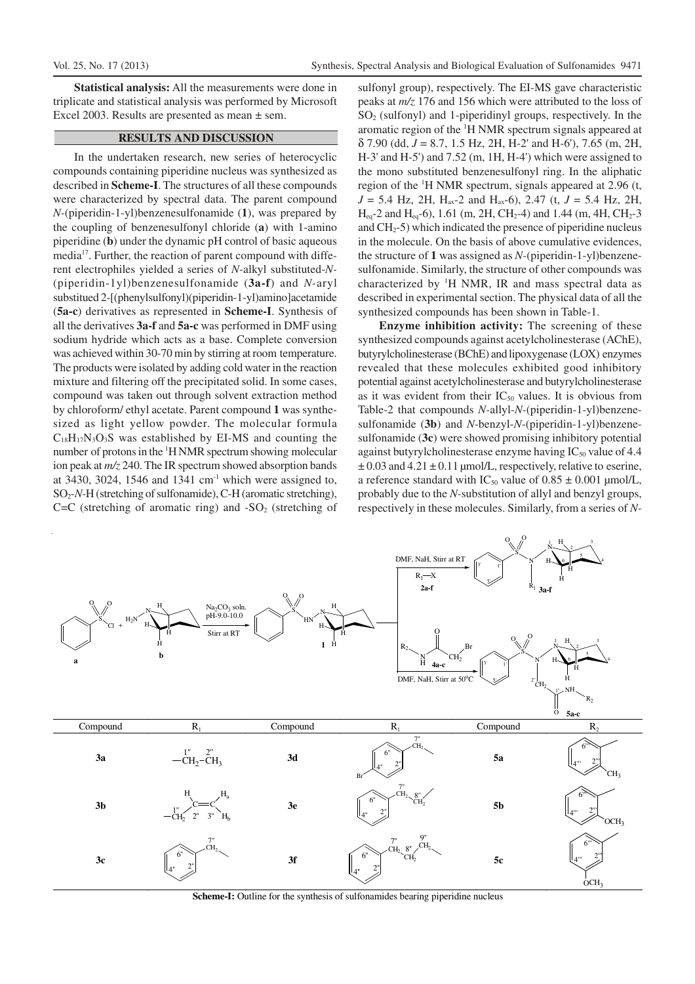**Statistical analysis:** All the measurements were done in triplicate and statistical analysis was performed by Microsoft Excel 2003. Results are presented as mean ± sem.

### **RESULTS AND DISCUSSION**

In the undertaken research, new series of heterocyclic compounds containing piperidine nucleus was synthesized as described in **Scheme-I**. The structures of all these compounds were characterized by spectral data. The parent compound *N-*(piperidin-1-yl)benzenesulfonamide (**1**), was prepared by the coupling of benzenesulfonyl chloride (**a**) with 1-amino piperidine (**b**) under the dynamic pH control of basic aqueous media<sup>17</sup>. Further, the reaction of parent compound with different electrophiles yielded a series of *N-*alkyl substituted-*N-* (piperidin-1yl)benzenesulfonamide (**3a-f**) and *N-*aryl substitued 2-[(phenylsulfonyl)(piperidin-1-yl)amino]acetamide (**5a-c**) derivatives as represented in **Scheme-I**. Synthesis of all the derivatives **3a-f** and **5a-c** was performed in DMF using sodium hydride which acts as a base. Complete conversion was achieved within 30-70 min by stirring at room temperature. The products were isolated by adding cold water in the reaction mixture and filtering off the precipitated solid. In some cases, compound was taken out through solvent extraction method by chloroform/ ethyl acetate. Parent compound **1** was synthesized as light yellow powder. The molecular formula  $C_{18}H_{17}N_3O_3S$  was established by EI-MS and counting the number of protons in the <sup>1</sup>H NMR spectrum showing molecular ion peak at *m/z* 240. The IR spectrum showed absorption bands at 3430, 3024, 1546 and 1341  $\text{cm}^{-1}$  which were assigned to, SO2-*N-*H (stretching of sulfonamide), C-H (aromatic stretching),  $C=C$  (stretching of aromatic ring) and  $-SO<sub>2</sub>$  (stretching of sulfonyl group), respectively. The EI-MS gave characteristic peaks at *m/z* 176 and 156 which were attributed to the loss of  $SO<sub>2</sub>$  (sulfonyl) and 1-piperidinyl groups, respectively. In the aromatic region of the <sup>1</sup>H NMR spectrum signals appeared at δ 7.90 (dd, *J* = 8.7, 1.5 Hz, 2H, H-2' and H-6'), 7.65 (m, 2H, H-3' and H-5') and 7.52 (m, 1H, H-4') which were assigned to the mono substituted benzenesulfonyl ring. In the aliphatic region of the <sup>1</sup>H NMR spectrum, signals appeared at 2.96 (t,  $J = 5.4$  Hz, 2H, H<sub>ax</sub>-2 and H<sub>ax</sub>-6), 2.47 (t,  $J = 5.4$  Hz, 2H,  $H_{eq}$ -2 and  $H_{eq}$ -6), 1.61 (m, 2H, CH<sub>2</sub>-4) and 1.44 (m, 4H, CH<sub>2</sub>-3 and  $CH<sub>2</sub>$ -5) which indicated the presence of piperidine nucleus in the molecule. On the basis of above cumulative evidences, the structure of **1** was assigned as *N-*(piperidin-1-yl)benzenesulfonamide. Similarly, the structure of other compounds was characterized by  $H$  NMR, IR and mass spectral data as described in experimental section. The physical data of all the synthesized compounds has been shown in Table-1.

**Enzyme inhibition activity:** The screening of these synthesized compounds against acetylcholinesterase (AChE), butyrylcholinesterase (BChE) and lipoxygenase (LOX) enzymes revealed that these molecules exhibited good inhibitory potential against acetylcholinesterase and butyrylcholinesterase as it was evident from their  $IC_{50}$  values. It is obvious from Table-2 that compounds *N-*allyl-*N-*(piperidin-1-yl)benzenesulfonamide (**3b**) and *N-*benzyl-*N-*(piperidin-1-yl)benzenesulfonamide (**3c**) were showed promising inhibitory potential against butyrylcholinesterase enzyme having  $IC_{50}$  value of 4.4  $\pm$  0.03 and 4.21  $\pm$  0.11 µmol/L, respectively, relative to eserine, a reference standard with IC<sub>50</sub> value of  $0.85 \pm 0.001$  µmol/L, probably due to the *N-*substitution of allyl and benzyl groups, respectively in these molecules. Similarly, from a series of *N-*



Scheme-I: Outline for the synthesis of sulfonamides bearing piperidine nucleus